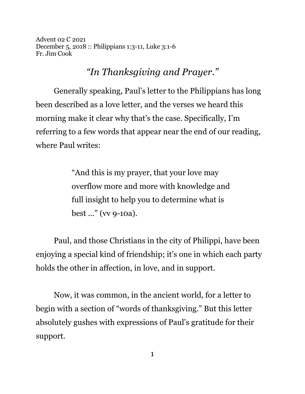Advent 02 C 2021 December 5, 2018 :: Philippians 1:3-11, Luke 3:1-6 Fr. Jim Cook

*"In Thanksgiving and Prayer."*

Generally speaking, Paul's letter to the Philippians has long been described as a love letter, and the verses we heard this morning make it clear why that's the case. Specifically, I'm referring to a few words that appear near the end of our reading, where Paul writes:

> "And this is my prayer, that your love may overflow more and more with knowledge and full insight to help you to determine what is best ..." (vv 9-10a).

Paul, and those Christians in the city of Philippi, have been enjoying a special kind of friendship; it's one in which each party holds the other in affection, in love, and in support.

Now, it was common, in the ancient world, for a letter to begin with a section of "words of thanksgiving." But this letter absolutely gushes with expressions of Paul's gratitude for their support.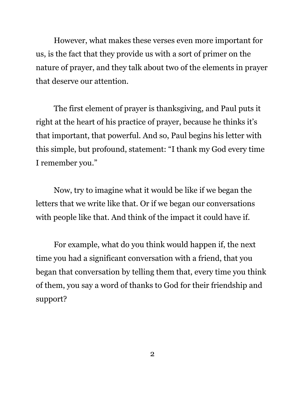However, what makes these verses even more important for us, is the fact that they provide us with a sort of primer on the nature of prayer, and they talk about two of the elements in prayer that deserve our attention.

The first element of prayer is thanksgiving, and Paul puts it right at the heart of his practice of prayer, because he thinks it's that important, that powerful. And so, Paul begins his letter with this simple, but profound, statement: "I thank my God every time I remember you."

Now, try to imagine what it would be like if we began the letters that we write like that. Or if we began our conversations with people like that. And think of the impact it could have if.

For example, what do you think would happen if, the next time you had a significant conversation with a friend, that you began that conversation by telling them that, every time you think of them, you say a word of thanks to God for their friendship and support?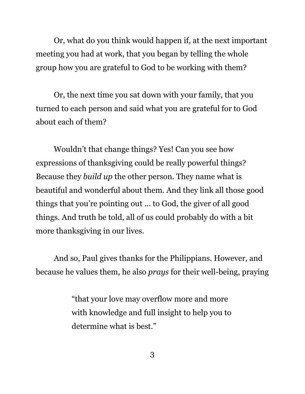Or, what do you think would happen if, at the next important meeting you had at work, that you began by telling the whole group how you are grateful to God to be working with them?

Or, the next time you sat down with your family, that you turned to each person and said what you are grateful for to God about each of them?

Wouldn't that change things? Yes! Can you see how expressions of thanksgiving could be really powerful things? Because they *build up* the other person. They name what is beautiful and wonderful about them. And they link all those good things that you're pointing out ... to God, the giver of all good things. And truth be told, all of us could probably do with a bit more thanksgiving in our lives.

And so, Paul gives thanks for the Philippians. However, and because he values them, he also *prays* for their well-being, praying

> "that your love may overflow more and more with knowledge and full insight to help you to determine what is best."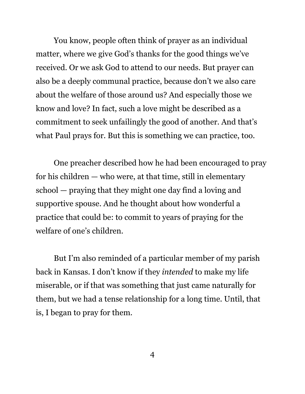You know, people often think of prayer as an individual matter, where we give God's thanks for the good things we've received. Or we ask God to attend to our needs. But prayer can also be a deeply communal practice, because don't we also care about the welfare of those around us? And especially those we know and love? In fact, such a love might be described as a commitment to seek unfailingly the good of another. And that's what Paul prays for. But this is something we can practice, too.

One preacher described how he had been encouraged to pray for his children — who were, at that time, still in elementary school — praying that they might one day find a loving and supportive spouse. And he thought about how wonderful a practice that could be: to commit to years of praying for the welfare of one's children.

But I'm also reminded of a particular member of my parish back in Kansas. I don't know if they *intended* to make my life miserable, or if that was something that just came naturally for them, but we had a tense relationship for a long time. Until, that is, I began to pray for them.

4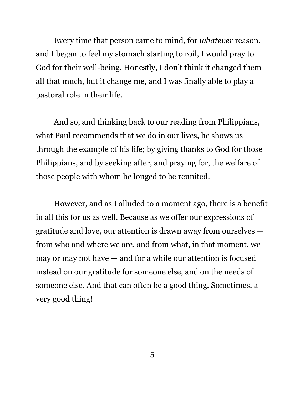Every time that person came to mind, for *whatever* reason, and I began to feel my stomach starting to roil, I would pray to God for their well-being. Honestly, I don't think it changed them all that much, but it change me, and I was finally able to play a pastoral role in their life.

And so, and thinking back to our reading from Philippians, what Paul recommends that we do in our lives, he shows us through the example of his life; by giving thanks to God for those Philippians, and by seeking after, and praying for, the welfare of those people with whom he longed to be reunited.

However, and as I alluded to a moment ago, there is a benefit in all this for us as well. Because as we offer our expressions of gratitude and love, our attention is drawn away from ourselves from who and where we are, and from what, in that moment, we may or may not have — and for a while our attention is focused instead on our gratitude for someone else, and on the needs of someone else. And that can often be a good thing. Sometimes, a very good thing!

5